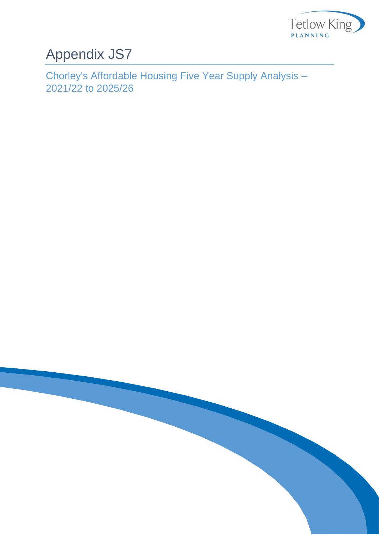

## Appendix JS7

Chorley's Affordable Housing Five Year Supply Analysis – 2021/22 to 2025/26

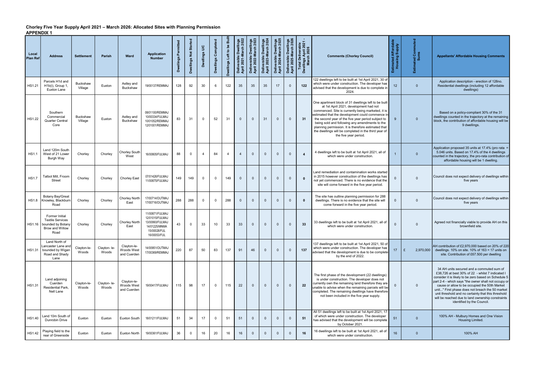## Chorley Five Year Supply April 2021 – March 2026: Allocated Sites with Planning Permission APPENDIX 1

| Local<br><b>Plan Ref</b> | <b>Address</b>                                                                                   | <b>Settlement</b>          | <b>Parish</b>        | Ward                                     | <b>Application</b><br><b>Number</b>                                                                    | Permitted<br><b>Dwellings</b> | Dwellings Not Started | Dwellings U/C | Dwellings Completed | Dwellings Left to be Buil | Deliverable Dwellings<br>April 2021-March 2022 | Dwellings<br>March 2023<br>Deliverable Dwelli<br>April 2022-March 2 | Deliverable Dwellings<br>April 2023-March 2024 | Dwellings<br>March 2025<br>verable<br>2024-M<br>Deliv<br>April | Dwellings<br>March 2026<br>Deliverable D<br>April 2025-Ma | Total Deliverable<br>Dwellings April 2021<br>March 2026 | <b>Comments (Chorley Council)</b>                                                                                                                                                                                                                                                                                                                                                                                                                        | Estimated Affordable<br>Housing Supply | <b>S</b> es<br><u>៊</u> ត្ត ទី<br>Estimate | <b>Appellants' Affordable Housing Comments</b>                                                                                                                                                                                                                                                                                                                                                                                                              |
|--------------------------|--------------------------------------------------------------------------------------------------|----------------------------|----------------------|------------------------------------------|--------------------------------------------------------------------------------------------------------|-------------------------------|-----------------------|---------------|---------------------|---------------------------|------------------------------------------------|---------------------------------------------------------------------|------------------------------------------------|----------------------------------------------------------------|-----------------------------------------------------------|---------------------------------------------------------|----------------------------------------------------------------------------------------------------------------------------------------------------------------------------------------------------------------------------------------------------------------------------------------------------------------------------------------------------------------------------------------------------------------------------------------------------------|----------------------------------------|--------------------------------------------|-------------------------------------------------------------------------------------------------------------------------------------------------------------------------------------------------------------------------------------------------------------------------------------------------------------------------------------------------------------------------------------------------------------------------------------------------------------|
| <b>HS1.21</b>            | Parcels H1d and<br>H1b(i), Group 1,<br>Euxton Lane                                               | <b>Buckshaw</b><br>Village | Euxton               | Astley and<br><b>Buckshaw</b>            | 19/00137/REMMAJ                                                                                        | 128                           | 92                    | 30            | $6\overline{6}$     | 122                       | 35                                             | 35                                                                  | 35                                             | 17                                                             | $\Omega$                                                  | 122                                                     | 122 dwellings left to be built at 1st April 2021, 30 of<br>which were under construction. The developer has<br>advised that the development is due to complete in<br>2024.                                                                                                                                                                                                                                                                               | 12 <sup>°</sup>                        | $\Omega$                                   | Application description - erection of 128no.<br>Residential dwellings (including 12 affordable<br>dwellings)                                                                                                                                                                                                                                                                                                                                                |
| <b>HS1.22</b>            | Southern<br>Commercial<br><b>Quarter Central</b><br>Core                                         | <b>Buckshaw</b><br>Village | Euxton               | Astley and<br><b>Buckshaw</b>            | 08/01100/REMMAJ<br>10/00334/FULMAJ<br>10/01052/REMMAJ<br>12/01001/REMMAJ                               | 83                            | 31                    | $\Omega$      | 52                  | 31                        | $\overline{0}$                                 | $\overline{0}$                                                      | 31                                             | $\overline{0}$                                                 | $\Omega$                                                  | 31                                                      | One apartment block of 31 dwellings left to be built<br>at 1st April 2021, development had not<br>commenced. Site is currently being marketed, it is<br>estimated that the development could commence in<br>the second year of the five year period subject to<br>being sold and following any amendments to the<br>planning permission. It is therefore estimated that<br>the dwellings will be completed in the third year of<br>the five year period. | 9                                      | $\mathbf{0}$                               | Based on a policy-compliant 30% of the 31<br>dwellings counted in the trajectory at the remaining<br>block, the contribution of affordable housing will be<br>9 dwellings.                                                                                                                                                                                                                                                                                  |
| <b>HS1.1</b>             | Land 120m South<br>West of 21 Lower<br>Burgh Way                                                 | Chorley                    | Chorlev              | Chorley South<br>West                    | 16/00805/FULMAJ                                                                                        | 88                            | $\Omega$              | 4             | 84                  | $\overline{4}$            | $\overline{4}$                                 | $\Omega$                                                            | $\mathbf 0$                                    | $\Omega$                                                       | $\Omega$                                                  | 4                                                       | 4 dwellings left to be built at 1st April 2021, all of<br>which were under construction.                                                                                                                                                                                                                                                                                                                                                                 |                                        | $\Omega$                                   | Application proposed 35 units at 17.4% (pro rata =<br>5.046 units. Based on 17.4% of the 4 dwellings<br>counted in the trajectory, the pro-rata contribution of<br>affordable housing will be 1 dwelling.                                                                                                                                                                                                                                                   |
| <b>HS1.7</b>             | Talbot Mill. Froom<br><b>Street</b>                                                              | Chorley                    | Chorley              | Chorley East                             | 07/01426/FULMAJ<br>11/00875/FULMAJ                                                                     | 149                           | 149                   | $\Omega$      | $\Omega$            | 149                       | $\overline{0}$                                 | $\Omega$                                                            | $\mathbf{0}$                                   | $\mathbf{0}$                                                   | $\Omega$                                                  | $\mathbf{0}$                                            | Land remediation and contamination works started<br>in 2015 however construction of the dwellings has<br>not yet commenced. There is no evidence that the<br>site will come forward in the five year period.                                                                                                                                                                                                                                             | $\Omega$                               | $\Omega$                                   | Council does not expect delivery of dwellings within<br>five years                                                                                                                                                                                                                                                                                                                                                                                          |
| <b>HS1.8</b>             | Botany Bay/Great<br>Knowley, Blackburn<br>Road                                                   | Chorley                    | Chorlev              | Chorley North<br>East                    | 17/00714/OUTMAJ<br>17/00716/OUTMAJ                                                                     | 288                           | 288                   | $\Omega$      | $\Omega$            | 288                       | $\overline{0}$                                 | $\Omega$                                                            | $\mathbf{0}$                                   | $\mathbf{0}$                                                   | $\Omega$                                                  | $\bf{0}$                                                | The site has outline planning permission for 288<br>dwellings. There is no evidence that the site will<br>come forward in the five year period.                                                                                                                                                                                                                                                                                                          | $\Omega$                               | $\mathbf{0}$                               | Council does not expect delivery of dwellings within<br>five years                                                                                                                                                                                                                                                                                                                                                                                          |
| HS1.16                   | Former Initial<br><b>Textile Services</b><br>bounded by Botany<br><b>Brow and Willow</b><br>Road | Chorley                    | Chorlev              | Chorley North<br>East                    | 11/00871/FULMAJ<br>12/01015/FULMAJ<br>13/00993/FULMAJ<br>14/01225/MNMA<br>15/00028/FUL<br>16/00053/FUL | 43                            | $\Omega$              | 33            | 10                  | 33                        | 33                                             | $\mathbf{0}$                                                        | $\overline{0}$                                 | $\mathbf{0}$                                                   | $\Omega$                                                  | 33                                                      | 33 dwellings left to be built at 1st April 2021, all of<br>which were under construction.                                                                                                                                                                                                                                                                                                                                                                | $\Omega$                               | $\Omega$                                   | Agreed not financially viable to provide AH on this<br>brownfield site.                                                                                                                                                                                                                                                                                                                                                                                     |
|                          | Land North of<br>Lancaster Lane and<br>HS1.31 bounded by Wigan<br>Road and Shady<br>Lane         | Clayton-le-<br>Woods       | Clayton-le-<br>Woods | Clayton-le-<br>Woods West<br>and Cuerden | 14/00951/OUTMAJ<br>17/00369/REMMAJ                                                                     | 220                           | 87                    | 50            | 83                  | 137                       | 91                                             | 46                                                                  | $\Omega$                                       | $\Omega$                                                       | $\Omega$                                                  | 137                                                     | 137 dwellings left to be built at 1st April 2021, 50 of<br>which were under construction. The developer has<br>advised that the development is due to be complete<br>by the end of 2022.                                                                                                                                                                                                                                                                 | 17 <sup>2</sup>                        | £                                          | AH contribution of £2,970,000 based on 20% of 220<br>2,970,000 dwellings. 10% on site. 10% of 163 = 17 units on<br>site. Contribution of £67.500 per dwelling                                                                                                                                                                                                                                                                                               |
| <b>HS1.31</b>            | Land adjoining<br>Cuerden<br><b>Residential Park.</b><br>Nell Lane                               | Clayton-le-<br>Woods       | Clayton-le-<br>Woods | Clayton-le-<br>Woods West<br>and Cuerden | 19/00417/FULMAJ                                                                                        | 115                           | 98                    | 17            | $\Omega$            | 115                       | 22                                             | $\overline{0}$                                                      | $\mathbf{0}$                                   | $\Omega$                                                       | $\Omega$                                                  | 22                                                      | The first phase of the development (22 dwellings)<br>is under construction. The developer does not<br>currently own the remaining land therefore they are<br>unable to advise when the remaining parcels will be<br>completed. The remaining dwellings have therefore<br>not been included in the five year supply.                                                                                                                                      | $\overline{0}$                         | $\mathbf{0}$                               | 34 AH units secured and a commuted sum of<br>£38,726 at best 30% of 22 - whilst 7 indicated I<br>consider it is likely to be zero based on Schedule 5<br>part 2-4 - which says "the owner shall not occupy or<br>cause or allow to be occupied the 50th Market<br>unit" First phase does not breach the 50 market<br>unit threshold and no certainty that this threshold<br>will be reached due to land ownership constraints<br>identified by the Council. |
| <b>HS1.40</b>            | Land 10m South of<br>Dunrobin Drive                                                              | Euxton                     | Euxton               | Euxton South                             | 18/01211/FULMAJ                                                                                        | 51                            | 34                    | 17            | $\Omega$            | 51                        | 51                                             | $\Omega$                                                            | $\mathbf{0}$                                   | $\Omega$                                                       | $\Omega$                                                  | 51                                                      | All 51 dwellings left to be built at 1st April 2021, 17<br>of which were under construction. The developer<br>has advised that the development will be complete<br>by October 2021.                                                                                                                                                                                                                                                                      | 51                                     | $\mathbf{0}$                               | 100% AH - Mulbury Homes and One Vision<br>Housing Limited.                                                                                                                                                                                                                                                                                                                                                                                                  |
| HS1.42                   | Playing field to the<br>rear of Greenside                                                        | Euxton                     | Euxton               | Euxton North                             | 19/00361/FULMAJ                                                                                        | 36                            | $\mathbf 0$           | 16            | 20                  | 16                        | 16                                             | $\overline{0}$                                                      | $\overline{0}$                                 | $\mathbf 0$                                                    | $\overline{0}$                                            | 16                                                      | 16 dwellings left to be built at 1st April 2021, all of<br>which were under construction.                                                                                                                                                                                                                                                                                                                                                                | 16                                     | $\mathbf 0$                                | 100% AH                                                                                                                                                                                                                                                                                                                                                                                                                                                     |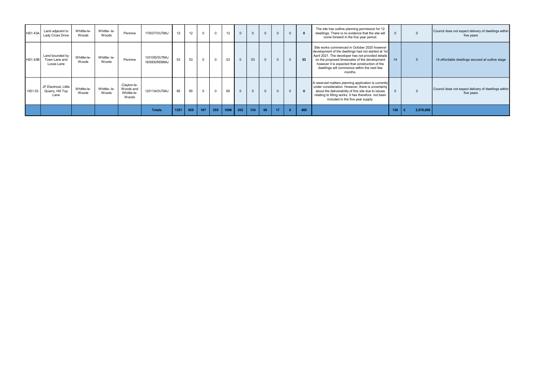| <b>HS1.43A</b> | Land adjacent to<br>Lady Cross Drive              | Whittle-le-<br>Woods | Whittle- le-<br>Woods | Pennine                                          | 17/00377/OUTMAJ                    | 12   | 12  |     | $\overline{0}$ | 12   | $\mathbf{0}$ | $\Omega$ | $\Omega$ | $\mathbf{0}$ |     | The site has outline planning permission for 12<br>dwellings. There is no evidence that the site will<br>come forward in the five year period.                                                                                                                                                                          | $\Omega$ |           | Council does not expect delivery of dwellings within<br>five years |
|----------------|---------------------------------------------------|----------------------|-----------------------|--------------------------------------------------|------------------------------------|------|-----|-----|----------------|------|--------------|----------|----------|--------------|-----|-------------------------------------------------------------------------------------------------------------------------------------------------------------------------------------------------------------------------------------------------------------------------------------------------------------------------|----------|-----------|--------------------------------------------------------------------|
| <b>HS1.43B</b> | Land bounded by<br>Town Lane and<br>Lucas Lane    | Whittle-le-<br>Woods | Whittle- le-<br>Woods | Pennine                                          | 13/01055/OUTMAJ<br>19/00830/REMMAJ | 53   | 53  |     | $\Omega$       | 53   | $\Omega$     | 53       | $\Omega$ | $\Omega$     | 53  | Site works commenced in October 2020 however<br>development of the dwellings had not started at 1st<br>April 2021. The developer has not provided details<br>on the proposed timescales of the development<br>however it is expected that construction of the<br>dwellings will commence within the next few<br>months. | 14       |           | 14 affordable dwellings secured at outline stage                   |
| HS1.53         | JF Electrical, Little<br>Quarry, Hill Top<br>Lane | Whittle-le-<br>Woods | Whittle- le-<br>Woods | Clayton-le-<br>Woods and<br>Whittle-le-<br>Woods | 12/01134/OUTMAJ                    | 85   | 85  |     | $\Omega$       | 85   | $\Omega$     | $\Omega$ | $\Omega$ |              |     | A reserved matters planning application is currently<br>under consideration. However, there is uncertainty<br>about the deliverability of this site due to issues<br>relating to filling works. It has therefore not been<br>included in the five year supply.                                                          | $\Omega$ |           | Council does not expect delivery of dwellings within<br>five years |
|                |                                                   |                      |                       |                                                  | <b>Totals</b>                      | 1351 | 929 | 167 | 255            | 1096 | 252          | 134      | 66       | 17           | 469 |                                                                                                                                                                                                                                                                                                                         | 120      | 2,970,000 |                                                                    |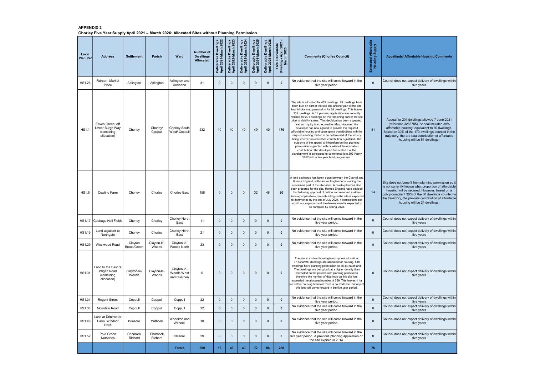## APPENDIX 2 Chorley Five Year Supply April 2021 – March 2026: Allocated Sites without Planning Permission

| Local<br><b>Plan Ref</b> | <b>Address</b>                                                   | <b>Settlement</b>      | <b>Parish</b>        | Ward                                     | <b>Number of</b><br><b>Dwellings</b><br><b>Allocated</b> | erable Dwellings<br>2021-March 2022<br>Deliverable I<br>April 2021-M | Deliverable Dwellings<br>April 2022-March 2023 | Dwellings<br>March 2024<br>Deliverable Dwelli<br>April 2023-March 2 | erable Dwellings<br>2024-March 2025<br>Deliverable I<br>April 2024-M | Deliverable Dwellings<br>April 2025-March 2026 | Total Deliverable<br>Dwellings April 2021<br>March 2026 | <b>Comments (Chorley Council)</b>                                                                                                                                                                                                                                                                                                                                                                                                                                                                                                                                                                                                                                                                                                                                                                                                                                                                                                               |              | <b>Appellants' Affordable Housing Comments</b>                                                                                                                                                                                                                                                                  |
|--------------------------|------------------------------------------------------------------|------------------------|----------------------|------------------------------------------|----------------------------------------------------------|----------------------------------------------------------------------|------------------------------------------------|---------------------------------------------------------------------|----------------------------------------------------------------------|------------------------------------------------|---------------------------------------------------------|-------------------------------------------------------------------------------------------------------------------------------------------------------------------------------------------------------------------------------------------------------------------------------------------------------------------------------------------------------------------------------------------------------------------------------------------------------------------------------------------------------------------------------------------------------------------------------------------------------------------------------------------------------------------------------------------------------------------------------------------------------------------------------------------------------------------------------------------------------------------------------------------------------------------------------------------------|--------------|-----------------------------------------------------------------------------------------------------------------------------------------------------------------------------------------------------------------------------------------------------------------------------------------------------------------|
| HS1.26                   | Fairport, Market<br>Place                                        | Adlington              | Adlington            | Adlington and<br>Anderton                | 31                                                       | $\Omega$                                                             | $\mathbf 0$                                    | $\Omega$                                                            | $\mathbf 0$                                                          | $\mathbf 0$                                    | $\mathbf{0}$                                            | No evidence that the site will come forward in the<br>five year period.                                                                                                                                                                                                                                                                                                                                                                                                                                                                                                                                                                                                                                                                                                                                                                                                                                                                         | $\Omega$     | Council does not expect delivery of dwellings within<br>five years                                                                                                                                                                                                                                              |
| <b>HS1.1</b>             | Eaves Green, off<br>Lower Burgh Way<br>(remaining<br>allocation) | Chorley                | Chorley/<br>Coppull  | Chorley South<br>West/ Coppull           | 232                                                      | 10 <sup>1</sup>                                                      | 40                                             | 40                                                                  | 40                                                                   | 40                                             | 170                                                     | The site is allocated for 419 dwellings. 99 dwellings have<br>been built on part of the site and another part of the site<br>has full planning permission for 88 dwellings. This leaves<br>232 dwellings. A full planning application was recently<br>refused for 201 dwellings on the remaining part of the site<br>due to viability issues. This decision has been appealed<br>and an Inquiry is scheduled for May. However, the<br>developer has now agreed to provide the required<br>affordable housing and open space contributions with the<br>only outstanding matter to be determined at the Inquiry<br>being whether an education contribution is justified. The<br>outcome of the appeal will therefore be that planning<br>permission is granted with or without the education<br>contribution. The developed has stated that the<br>development is scheduled to commence late 2021/early<br>2022 with a five year build programme. | 51           | Appeal for 201 dwellings allowed 7 June 2021<br>(reference 3265785). Appeal included 30%<br>affordable housing, equivalent to 60 dwellings.<br>Based on 30% of the 170 dwellings counted in the<br>trajectory, the pro-rata contribution of affordable<br>housing will be 51 dwellings.                         |
| <b>HS1.5</b>             | <b>Cowling Farm</b>                                              | Chorley                | Chorley              | <b>Chorley East</b>                      | 158                                                      | $\Omega$                                                             | $\Omega$                                       | $\Omega$                                                            | 32                                                                   | 48                                             | 80                                                      | A land exchange has taken place between the Council and<br>Homes England, with Homes England now owning the<br>residential part of the allocation. A masterplan has also<br>been prepared for the site. Homes England have advised<br>that following approval of outline and reserved matters<br>planning applications, housebuilding on the site is expected<br>to commence by the end of July 2024. 4 completions per<br>month are expected and the development is expected to<br>be complete by Spring 2028.                                                                                                                                                                                                                                                                                                                                                                                                                                 | 24           | Site does not benefit from planning permission so it<br>is not currently known what proportion of affordable<br>housing will be secured. However, based on a<br>policy-compliant 30% of the 80 dwellings counted in<br>the trajectory, the pro-rata contribution of affordable<br>housing will be 24 dwellings. |
| <b>HS1.17</b>            | Cabbage Hall Fields                                              | Chorley                | Chorley              | <b>Chorley North</b><br>East             | 11                                                       | $\Omega$                                                             | $\mathbf{0}$                                   | $\Omega$                                                            | $\mathbf 0$                                                          | $\mathbf 0$                                    | $\mathbf{0}$                                            | No evidence that the site will come forward in the<br>five year period.                                                                                                                                                                                                                                                                                                                                                                                                                                                                                                                                                                                                                                                                                                                                                                                                                                                                         | $\mathbf{0}$ | Council does not expect delivery of dwellings within<br>five years                                                                                                                                                                                                                                              |
| HS1.19                   | Land adjacent to<br>Northgate                                    | Chorley                | Chorley              | <b>Chorley North</b><br>East             | 21                                                       | $\mathbf{0}$                                                         | $\mathbf 0$                                    | $\Omega$                                                            | $\mathbf 0$                                                          | $\mathbf 0$                                    | $\mathbf{0}$                                            | No evidence that the site will come forward in the<br>five year period.                                                                                                                                                                                                                                                                                                                                                                                                                                                                                                                                                                                                                                                                                                                                                                                                                                                                         | $\mathbf 0$  | Council does not expect delivery of dwellings within<br>five years                                                                                                                                                                                                                                              |
| <b>HS1.29</b>            | Westwood Road                                                    | Clayton<br>Brook/Green | Clayton-le-<br>Woods | Clayton-le-<br>Woods North               | 23                                                       | $\Omega$                                                             | $\mathbf 0$                                    | $\Omega$                                                            | $\mathbf 0$                                                          | $\mathbf{0}$                                   | $\mathbf{0}$                                            | No evidence that the site will come forward in the<br>five year period.                                                                                                                                                                                                                                                                                                                                                                                                                                                                                                                                                                                                                                                                                                                                                                                                                                                                         | $\mathbf{0}$ | Council does not expect delivery of dwellings within<br>five years                                                                                                                                                                                                                                              |
| HS1.31                   | Land to the East of<br>Wigan Road<br>(remaining<br>allocation)   | Clayton-le-<br>Woods   | Clayton-le-<br>Woods | Clayton-le-<br>Woods West<br>and Cuerden | $\mathbf 0$                                              | $\Omega$                                                             | $\mathbf{0}$                                   | $\mathbf{0}$                                                        | $\overline{0}$                                                       | $\mathbf{0}$                                   | $\mathbf 0$                                             | The site is a mixed housing/employment allocation.<br>37.14ha/699 dwellings are allocated for housing. 818<br>dwellings have planning permission on 36.14 ha of land.<br>The dwellings are being built at a higher density than<br>estimated on the parcels with planning permission<br>therefore the number of dwellings on this site has<br>exceeded the allocated number of 699. This leaves 1 ha<br>for further housing however there is no evidence that any of<br>this land will come forward in the five year period.                                                                                                                                                                                                                                                                                                                                                                                                                    | $\mathbf 0$  | Council does not expect delivery of dwellings within<br>five years                                                                                                                                                                                                                                              |
| HS1.34                   | <b>Regent Street</b>                                             | Coppull                | Coppull              | Coppull                                  | 22                                                       | $\mathbf 0$                                                          | $\mathbf 0$                                    | $\Omega$                                                            | $\mathbf 0$                                                          | $\mathbf 0$                                    | $\mathbf{0}$                                            | No evidence that the site will come forward in the<br>five year period.                                                                                                                                                                                                                                                                                                                                                                                                                                                                                                                                                                                                                                                                                                                                                                                                                                                                         | $\mathbf{0}$ | Council does not expect delivery of dwellings within<br>five years                                                                                                                                                                                                                                              |
| HS1.38                   | Mountain Road                                                    | Coppull                | Coppull              | Coppull                                  | 22                                                       | $\mathbf 0$                                                          | $\mathbf{0}$                                   | $\Omega$                                                            | $\mathbf 0$                                                          | $\Omega$                                       | $\mathbf 0$                                             | No evidence that the site will come forward in the<br>five year period.                                                                                                                                                                                                                                                                                                                                                                                                                                                                                                                                                                                                                                                                                                                                                                                                                                                                         | $\mathbf 0$  | Council does not expect delivery of dwellings within<br>five years                                                                                                                                                                                                                                              |
| HS1.46                   | Land at Drinkwater<br>Farm, Windsor<br>Drive                     | <b>Brinscall</b>       | Withnell             | Wheelton and<br>Withnell                 | 10                                                       | $\Omega$                                                             | $\mathbf 0$                                    | $\Omega$                                                            | $\overline{0}$                                                       | $\mathbf 0$                                    | $\mathbf{0}$                                            | No evidence that the site will come forward in the<br>five year period.                                                                                                                                                                                                                                                                                                                                                                                                                                                                                                                                                                                                                                                                                                                                                                                                                                                                         | $\Omega$     | Council does not expect delivery of dwellings within<br>five years                                                                                                                                                                                                                                              |
| HS1.52                   | Pole Green<br><b>Nurseries</b>                                   | Charnock<br>Richard    | Charnock<br>Richard  | Chisnall                                 | 29                                                       | $\Omega$                                                             | $\mathbf 0$                                    | $\Omega$                                                            | $\mathbf 0$                                                          | $\mathbf 0$                                    | $\mathbf 0$                                             | No evidence that the site will come forward in the<br>five year period. A previous planning application on<br>the site expired in 2014.                                                                                                                                                                                                                                                                                                                                                                                                                                                                                                                                                                                                                                                                                                                                                                                                         | $\mathbf 0$  | Council does not expect delivery of dwellings within<br>five years                                                                                                                                                                                                                                              |
|                          |                                                                  |                        |                      | <b>Totals</b>                            | 559                                                      | 10 <sub>1</sub>                                                      | 40                                             | 40                                                                  | 72                                                                   | 88                                             | 250                                                     |                                                                                                                                                                                                                                                                                                                                                                                                                                                                                                                                                                                                                                                                                                                                                                                                                                                                                                                                                 | 75           |                                                                                                                                                                                                                                                                                                                 |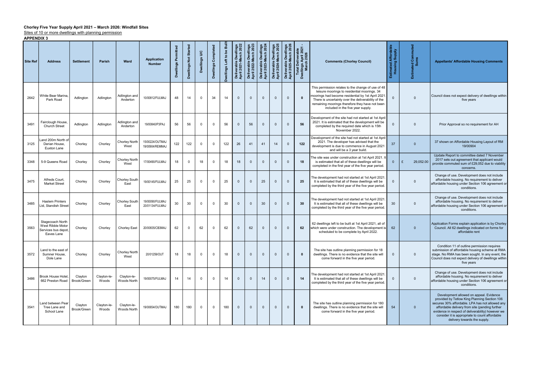## Chorley Five Year Supply April 2021 – March 2026: Windfall Sites

Sites of 10 or more dwellings with planning permission

APPENDIX 3

| Site Ref | <b>Address</b>                                                            | <b>Settlement</b>      | Parish               | <b>Ward</b>                  | <b>Application</b><br><b>Number</b> | Permitted<br>wellings<br>ó | ellings Not Started<br>å | $\mathbf{S}$<br><b>Dwellings</b> | Completed<br>Dwellings | Dwellings Left to be Builf | Deliverable Dwellings<br>April 2021-March 2022 | Deliverable Dwellings<br>April 2022-March 2023 | Deliverable Dwellings<br>April 2023-March 2024 | <b>Dwellings</b><br>March 2025<br>Deliverable Dwelli<br>April 2024-March 2 | llings<br>12026<br>å<br>Deliverable I<br>April 2025-M | Total Deliverable<br>Dwellings April 2021<br>March 2026 | <b>Comments (Chorley Council)</b>                                                                                                                                                                                                                                                                      | <b>Affordab</b><br><b>Supply</b><br>sing<br>ಾ<br>ма<br>Но | muted<br>ິດ<br>ເຮືອ<br>Estimated<br>Sul | <b>Appellants' Affordable Housing Comments</b>                                                                                                                                                                                                                                                                                      |
|----------|---------------------------------------------------------------------------|------------------------|----------------------|------------------------------|-------------------------------------|----------------------------|--------------------------|----------------------------------|------------------------|----------------------------|------------------------------------------------|------------------------------------------------|------------------------------------------------|----------------------------------------------------------------------------|-------------------------------------------------------|---------------------------------------------------------|--------------------------------------------------------------------------------------------------------------------------------------------------------------------------------------------------------------------------------------------------------------------------------------------------------|-----------------------------------------------------------|-----------------------------------------|-------------------------------------------------------------------------------------------------------------------------------------------------------------------------------------------------------------------------------------------------------------------------------------------------------------------------------------|
| 2642     | White Bear Marina.<br>Park Road                                           | Adlington              | Adlington            | Adlington and<br>Anderton    | 10/00812/FULMAJ                     | 48                         | 14                       | 0                                | 34                     | 14                         | $\Omega$                                       | $\Omega$                                       | $\Omega$                                       | $\mathbf 0$                                                                | $\mathbf{0}$                                          | $\mathbf{0}$                                            | This permission relates to the change of use of 48<br>leisure moorings to residential moorings. 34<br>moorings had become residential by 1st April 2021<br>There is uncertainty over the deliverability of the<br>remaining moorings therefore they have not been<br>included in the five year supply. | $\mathbf{0}$                                              | $\mathbf{0}$                            | Council does not expect delivery of dwellings within<br>five years                                                                                                                                                                                                                                                                  |
| 3491     | Fairclough House,<br><b>Church Street</b>                                 | Adlington              | Adlington            | Adlington and<br>Anderton    | 19/00840/P3PAJ                      | 56                         | 56                       | $\Omega$                         | 0                      | 56                         | $\Omega$                                       | 56                                             | $\Omega$                                       | $\mathbf{0}$                                                               | $\mathbf{0}$                                          | 56                                                      | Development of the site had not started at 1st April<br>2021. It is estimated that the development will be<br>completed by the required date which is 15th<br>November 2022.                                                                                                                           | $\Omega$                                                  | $\Omega$                                | Prior Approval so no requirement for AH                                                                                                                                                                                                                                                                                             |
| 3125     | Land 200m North of<br>Derian House.<br>Euxton Lane                        | Chorley                | Chorley              | Chorley North<br>West        | 15/00224/OUTMAJ<br>19/00904/REMMAJ  | 122                        | 122                      | $\Omega$                         | $\Omega$               | 122                        | 26                                             | 41                                             | 41                                             | 14                                                                         | $\Omega$                                              | 122                                                     | Development of the site had not started at 1st April<br>2021. The developer has advised that the<br>development is due to commence in August 2021<br>and will be a 3 year build.                                                                                                                       | 37                                                        | $\mathbf{0}$                            | 37 shown on Affordable Housing Layout of RM<br>19/00904                                                                                                                                                                                                                                                                             |
| 3348     | 5-9 Queens Road                                                           | Chorley                | Chorley              | Chorley North<br>West        | 17/00490/FULMAJ                     | 18                         | $\Omega$                 | 18                               | $\Omega$               | 18                         | 18                                             | $\Omega$                                       | $\mathbf{0}$                                   | $\mathbf 0$                                                                | $\Omega$                                              | 18                                                      | The site was under construction at 1st April 2021.<br>is estimated that all of these dwellings will be<br>completed in the first year of the five year period.                                                                                                                                         | $\overline{0}$                                            | 29,052.00<br>£                          | Update Report to committee dated 7 November<br>2017 sets out agreement that applicant would<br>provide commuted sum of £29,052 due to viability<br>concerns.                                                                                                                                                                        |
| 3475     | Alfreds Court,<br><b>Market Street</b>                                    | Chorley                | Chorley              | Chorley South<br>East        | 19/00145/FULMAJ                     | 25                         | 25                       | 0                                | 0                      | 25                         | $\Omega$                                       | $\Omega$                                       | 25                                             | $\mathbf{0}$                                                               | $\Omega$                                              | 25                                                      | The development had not started at 1st April 2021<br>It is estimated that all of these dwellings will be<br>completed by the third year of the five year period.                                                                                                                                       | $\overline{0}$                                            | $\mathbf{0}$                            | Change of use. Development does not include<br>affordable housing. No requirement to deliver<br>affordable housing under Section 106 agreement or<br>conditions.                                                                                                                                                                    |
| 3485     | <b>Haslem Printers</b><br>Ltd, Standish Street                            | Chorley                | Chorley              | Chorley South<br>East        | 19/00090/FULMAJ<br>20/01134/FULMAJ  | 30                         | 30                       | 0                                | $\Omega$               | 30                         | $\mathbf 0$                                    | $\mathbf{0}$                                   | 30                                             | $\mathbf{0}$                                                               | $\mathbf{0}$                                          | 30                                                      | The development had not started at 1st April 2021<br>It is estimated that all of these dwellings will be<br>completed by the third year of the five year period.                                                                                                                                       | 30                                                        | $\Omega$                                | Change of use. Development does not include<br>affordable housing. No requirement to deliver<br>affordable housing under Section 106 agreement or<br>conditions.                                                                                                                                                                    |
| 3563     | Stagecoach North<br>West Ribble Motor<br>Services bus depot<br>Eaves Lane | Chorley                | Chorley              | <b>Chorley East</b>          | 20/00835/CB3MAJ                     | 62                         | $\Omega$                 | 62                               | $\Omega$               | 62                         | $\mathbf{0}$                                   | 62                                             | $\mathbf{0}$                                   | $\mathbf 0$                                                                | $\overline{0}$                                        | 62                                                      | 62 dwellings left to be built at 1st April 2021, all of<br>which were under construction. The development is<br>scheduled to be complete by April 2022.                                                                                                                                                | 62                                                        | $\mathbf{0}$                            | Application Forms explain application is by Chorley<br>Council. All 62 dwellings indicated on forms for<br>affordable rent                                                                                                                                                                                                          |
| 3572     | Land to the east of<br>Sumner House.<br>Dole Lane                         | Chorley                | Chorley              | <b>Chorley North</b><br>West | 20/01259/OUT                        | 18                         | 18                       | 0                                | $\Omega$               | 18                         | $\mathbf{0}$                                   | $\overline{0}$                                 | $\Omega$                                       | $\mathbf{0}$                                                               | $\Omega$                                              | $\mathbf{0}$                                            | The site has outline planning permission for 18<br>dwellings. There is no evidence that the site will<br>come forward in the five year period.                                                                                                                                                         | $\overline{0}$                                            | $\mathbf{0}$                            | Condition 11 of outline permission requires<br>submission of affordable housing scheme at RMA<br>stage. No RMA has been sought. In any event, the<br>Council does not expect delivery of dwellings within<br>five years                                                                                                             |
| 3486     | <b>Brook House Hotel</b><br>662 Preston Road                              | Clayton<br>Brook/Green | Clayton-le-<br>Woods | Clayton-le-<br>Woods North   | 19/00075/FULMAJ                     | 14                         | 14                       | $\Omega$                         | $\Omega$               | 14                         | $\Omega$                                       | $\Omega$                                       | 14                                             | $\mathbf 0$                                                                | $\Omega$                                              | 14                                                      | The development had not started at 1st April 2021<br>It is estimated that all of these dwellings will be<br>completed by the third year of the five year period.                                                                                                                                       | $\overline{0}$                                            | $\mathbf{0}$                            | Change of use. Development does not include<br>affordable housing. No requirement to deliver<br>affordable housing under Section 106 agreement or<br>conditions.                                                                                                                                                                    |
| 3541     | Land between Pear<br>Tree Lane and<br>School Lane                         | Clayton<br>Brook/Green | Clayton-le-<br>Woods | Clayton-le-<br>Woods North   | 19/00654/OUTMAJ                     | 180                        | 180                      | $\mathbf{0}$                     | $\mathbf 0$            | 180                        | $\mathbf{0}$                                   | $\overline{0}$                                 | $\overline{0}$                                 | $\mathbf{0}$                                                               | $\mathbf{0}$                                          | $\mathbf{0}$                                            | The site has outline planning permission for 180<br>dwellings. There is no evidence that the site will<br>come forward in the five year period.                                                                                                                                                        | 54                                                        | $\mathbf{0}$                            | Development allowed on appeal. Evidence<br>provided by Tetlow King Planning Section 106<br>secures 30% affordable. LPA has not allowed any<br>affordable delivery from site (pending further<br>evidence in respect of deliverability) however we<br>consider it is appropriate to count affordable<br>delivery towards the supply. |